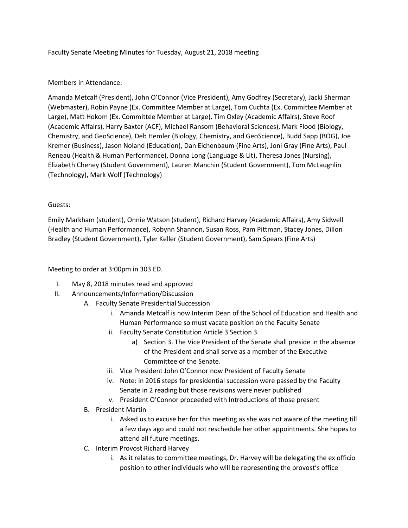## Faculty Senate Meeting Minutes for Tuesday, August 21, 2018 meeting

## Members in Attendance:

Amanda Metcalf (President), John O'Connor (Vice President), Amy Godfrey (Secretary), Jacki Sherman (Webmaster), Robin Payne (Ex. Committee Member at Large), Tom Cuchta (Ex. Committee Member at Large), Matt Hokom (Ex. Committee Member at Large), Tim Oxley (Academic Affairs), Steve Roof (Academic Affairs), Harry Baxter (ACF), Michael Ransom (Behavioral Sciences), Mark Flood (Biology, Chemistry, and GeoScience), Deb Hemler (Biology, Chemistry, and GeoScience), Budd Sapp (BOG), Joe Kremer (Business), Jason Noland (Education), Dan Eichenbaum (Fine Arts), Joni Gray (Fine Arts), Paul Reneau (Health & Human Performance), Donna Long (Language & Lit), Theresa Jones (Nursing), Elizabeth Cheney (Student Government), Lauren Manchin (Student Government), Tom McLaughlin (Technology), Mark Wolf (Technology)

## Guests:

Emily Markham (student), Onnie Watson (student), Richard Harvey (Academic Affairs), Amy Sidwell (Health and Human Performance), Robynn Shannon, Susan Ross, Pam Pittman, Stacey Jones, Dillon Bradley (Student Government), Tyler Keller (Student Government), Sam Spears (Fine Arts)

Meeting to order at 3:00pm in 303 ED.

- I. May 8, 2018 minutes read and approved
- II. Announcements/Information/Discussion
	- A. Faculty Senate Presidential Succession
		- i. Amanda Metcalf is now Interim Dean of the School of Education and Health and Human Performance so must vacate position on the Faculty Senate
		- ii. Faculty Senate Constitution Article 3 Section 3
			- a) Section 3. The Vice President of the Senate shall preside in the absence of the President and shall serve as a member of the Executive Committee of the Senate.
		- iii. Vice President John O'Connor now President of Faculty Senate
		- iv. Note: in 2016 steps for presidential succession were passed by the Faculty Senate in 2 reading but those revisions were never published
		- v. President O'Connor proceeded with Introductions of those present
	- B. President Martin
		- i. Asked us to excuse her for this meeting as she was not aware of the meeting till a few days ago and could not reschedule her other appointments. She hopes to attend all future meetings.
	- C. Interim Provost Richard Harvey
		- i. As it relates to committee meetings, Dr. Harvey will be delegating the ex officio position to other individuals who will be representing the provost's office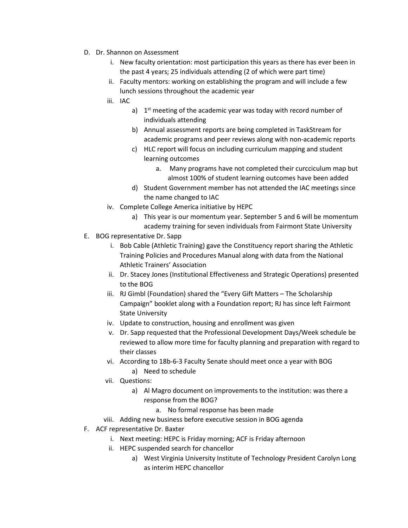- D. Dr. Shannon on Assessment
	- i. New faculty orientation: most participation this years as there has ever been in the past 4 years; 25 individuals attending (2 of which were part time)
	- ii. Faculty mentors: working on establishing the program and will include a few lunch sessions throughout the academic year
	- iii. IAC
		- a)  $1<sup>st</sup>$  meeting of the academic year was today with record number of individuals attending
		- b) Annual assessment reports are being completed in TaskStream for academic programs and peer reviews along with non-academic reports
		- c) HLC report will focus on including curriculum mapping and student learning outcomes
			- a. Many programs have not completed their curcciculum map but almost 100% of student learning outcomes have been added
		- d) Student Government member has not attended the IAC meetings since the name changed to IAC
	- iv. Complete College America initiative by HEPC
		- a) This year is our momentum year. September 5 and 6 will be momentum academy training for seven individuals from Fairmont State University
- E. BOG representative Dr. Sapp
	- i. Bob Cable (Athletic Training) gave the Constituency report sharing the Athletic Training Policies and Procedures Manual along with data from the National Athletic Trainers' Association
	- ii. Dr. Stacey Jones (Institutional Effectiveness and Strategic Operations) presented to the BOG
	- iii. RJ Gimbl (Foundation) shared the "Every Gift Matters The Scholarship Campaign" booklet along with a Foundation report; RJ has since left Fairmont State University
	- iv. Update to construction, housing and enrollment was given
	- v. Dr. Sapp requested that the Professional Development Days/Week schedule be reviewed to allow more time for faculty planning and preparation with regard to their classes
	- vi. According to 18b-6-3 Faculty Senate should meet once a year with BOG a) Need to schedule
	- vii. Questions:
		- a) Al Magro document on improvements to the institution: was there a response from the BOG?
			- a. No formal response has been made
	- viii. Adding new business before executive session in BOG agenda
- F. ACF representative Dr. Baxter
	- i. Next meeting: HEPC is Friday morning; ACF is Friday afternoon
		- ii. HEPC suspended search for chancellor
			- a) West Virginia University Institute of Technology President Carolyn Long as interim HEPC chancellor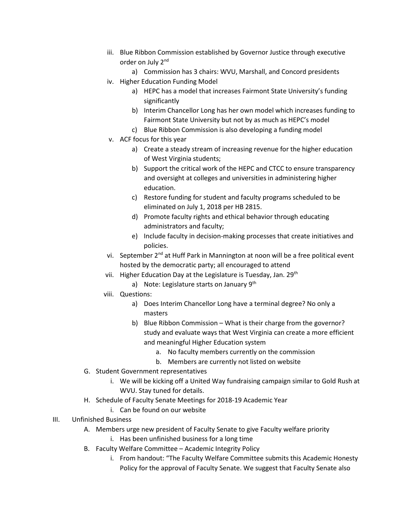- iii. Blue Ribbon Commission established by Governor Justice through executive order on July 2<sup>nd</sup>
	- a) Commission has 3 chairs: WVU, Marshall, and Concord presidents
- iv. Higher Education Funding Model
	- a) HEPC has a model that increases Fairmont State University's funding significantly
	- b) Interim Chancellor Long has her own model which increases funding to Fairmont State University but not by as much as HEPC's model
	- c) Blue Ribbon Commission is also developing a funding model
- v. ACF focus for this year
	- a) Create a steady stream of increasing revenue for the higher education of West Virginia students;
	- b) Support the critical work of the HEPC and CTCC to ensure transparency and oversight at colleges and universities in administering higher education.
	- c) Restore funding for student and faculty programs scheduled to be eliminated on July 1, 2018 per HB 2815.
	- d) Promote faculty rights and ethical behavior through educating administrators and faculty;
	- e) Include faculty in decision-making processes that create initiatives and policies.
- vi. September 2<sup>nd</sup> at Huff Park in Mannington at noon will be a free political event hosted by the democratic party; all encouraged to attend
- vii. Higher Education Day at the Legislature is Tuesday, Jan. 29<sup>th</sup>
	- a) Note: Legislature starts on January  $9<sup>th</sup>$
- viii. Questions:
	- a) Does Interim Chancellor Long have a terminal degree? No only a masters
	- b) Blue Ribbon Commission What is their charge from the governor? study and evaluate ways that West Virginia can create a more efficient and meaningful Higher Education system
		- a. No faculty members currently on the commission
		- b. Members are currently not listed on website
- G. Student Government representatives
	- i. We will be kicking off a United Way fundraising campaign similar to Gold Rush at WVU. Stay tuned for details.
- H. Schedule of Faculty Senate Meetings for 2018-19 Academic Year
	- i. Can be found on our website
- III. Unfinished Business
	- A. Members urge new president of Faculty Senate to give Faculty welfare priority
		- i. Has been unfinished business for a long time
	- B. Faculty Welfare Committee Academic Integrity Policy
		- i. From handout: "The Faculty Welfare Committee submits this Academic Honesty Policy for the approval of Faculty Senate. We suggest that Faculty Senate also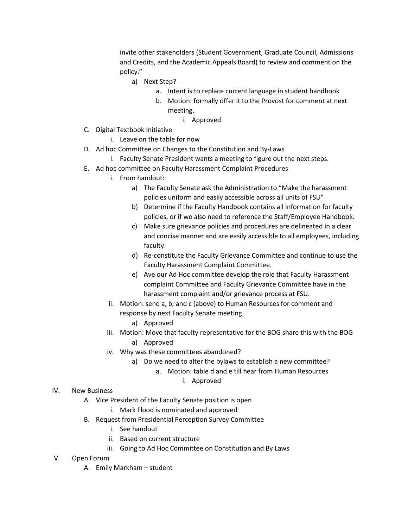invite other stakeholders (Student Government, Graduate Council, Admissions and Credits, and the Academic Appeals Board) to review and comment on the policy."

- a) Next Step?
	- a. Intent is to replace current language in student handbook
	- b. Motion: formally offer it to the Provost for comment at next meeting.
		- i. Approved
- C. Digital Textbook Initiative
	- i. Leave on the table for now
- D. Ad hoc Committee on Changes to the Constitution and By-Laws
	- i. Faculty Senate President wants a meeting to figure out the next steps.
- E. Ad hoc committee on Faculty Harassment Complaint Procedures
	- i. From handout:
		- a) The Faculty Senate ask the Administration to "Make the harassment policies uniform and easily accessible across all units of FSU"
		- b) Determine if the Faculty Handbook contains all information for faculty policies, or if we also need to reference the Staff/Employee Handbook.
		- c) Make sure grievance policies and procedures are delineated in a clear and concise manner and are easily accessible to all employees, including faculty.
		- d) Re-constitute the Faculty Grievance Committee and continue to use the Faculty Harassment Complaint Committee.
		- e) Ave our Ad Hoc committee develop the role that Faculty Harassment complaint Committee and Faculty Grievance Committee have in the harassment complaint and/or grievance process at FSU.
	- ii. Motion: send a, b, and c (above) to Human Resources for comment and response by next Faculty Senate meeting
		- a) Approved
	- iii. Motion: Move that faculty representative for the BOG share this with the BOG a) Approved
	- iv. Why was these committees abandoned?
		- a) Do we need to alter the bylaws to establish a new committee?
			- a. Motion: table d and e till hear from Human Resources
				- i. Approved

## IV. New Business

- A. Vice President of the Faculty Senate position is open
	- i. Mark Flood is nominated and approved
- B. Request from Presidential Perception Survey Committee
	- i. See handout
	- ii. Based on current structure
	- iii. Going to Ad Hoc Committee on Constitution and By Laws
- V. Open Forum
	- A. Emily Markham student